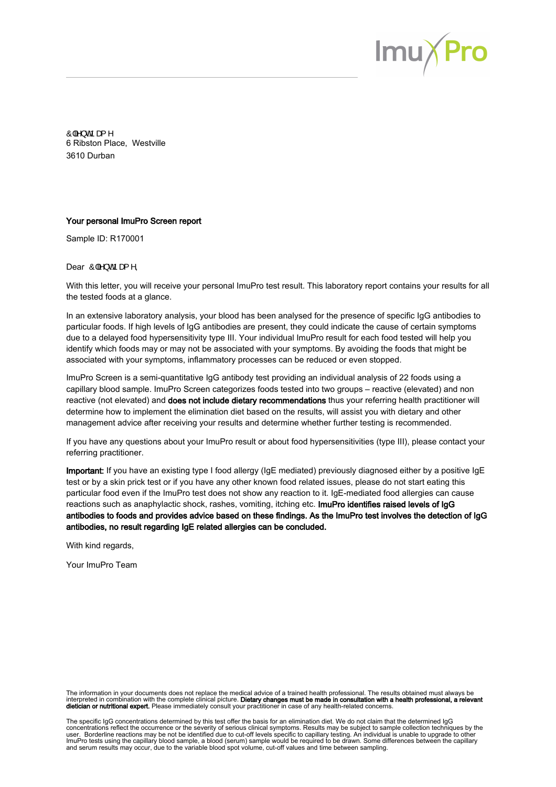

Ô|ã } o fo a { ^ 6 Ribston Place, Westville 3610 Durban

### Your personal ImuPro Screen report

Sample ID: R170001

Dear  $\hat{O}|\hat{a}\rangle$  of pas ^,

With this letter, you will receive your personal ImuPro test result. This laboratory report contains your results for all the tested foods at a glance.

In an extensive laboratory analysis, your blood has been analysed for the presence of specific IgG antibodies to particular foods. If high levels of IgG antibodies are present, they could indicate the cause of certain symptoms due to a delayed food hypersensitivity type III. Your individual ImuPro result for each food tested will help you identify which foods may or may not be associated with your symptoms. By avoiding the foods that might be associated with your symptoms, inflammatory processes can be reduced or even stopped.

ImuPro Screen is a semi-quantitative IgG antibody test providing an individual analysis of 22 foods using a capillary blood sample. ImuPro Screen categorizes foods tested into two groups – reactive (elevated) and non reactive (not elevated) and does not include dietary recommendations thus your referring health practitioner will determine how to implement the elimination diet based on the results, will assist you with dietary and other management advice after receiving your results and determine whether further testing is recommended.

If you have any questions about your ImuPro result or about food hypersensitivities (type III), please contact your referring practitioner.

Important: If you have an existing type I food allergy (IgE mediated) previously diagnosed either by a positive IgE test or by a skin prick test or if you have any other known food related issues, please do not start eating this particular food even if the ImuPro test does not show any reaction to it. IgE-mediated food allergies can cause reactions such as anaphylactic shock, rashes, vomiting, itching etc. ImuPro identifies raised levels of IgG antibodies to foods and provides advice based on these findings. As the ImuPro test involves the detection of IgG antibodies, no result regarding IgE related allergies can be concluded.

With kind regards,

Your ImuPro Team

The information in your documents does not replace the medical advice of a trained health professional. The results obtained must always be interpreted in combination with the complete clinical picture. **Dietary changes must be made in consultation with a health professional, a relevant**<br>**dietician or nutritional expert.** Please immediately consult your practi

The specific IgG concentrations determined by this test offer the basis for an elimination diet. We do not claim that the determined IgG concentrations reflect the occurrence or the severity of serious clinical symptoms. Results may be subject to sample collection techniques by the<br>user. Borderline reactions may be not be identified due to cut-off levels s ImuPro tests using the capillary blood sample, a blood (serum) sample would be required to be drawn. Some differences between the capillary<br>and serum results may occur, due to the variable blood spot volume, cut-off values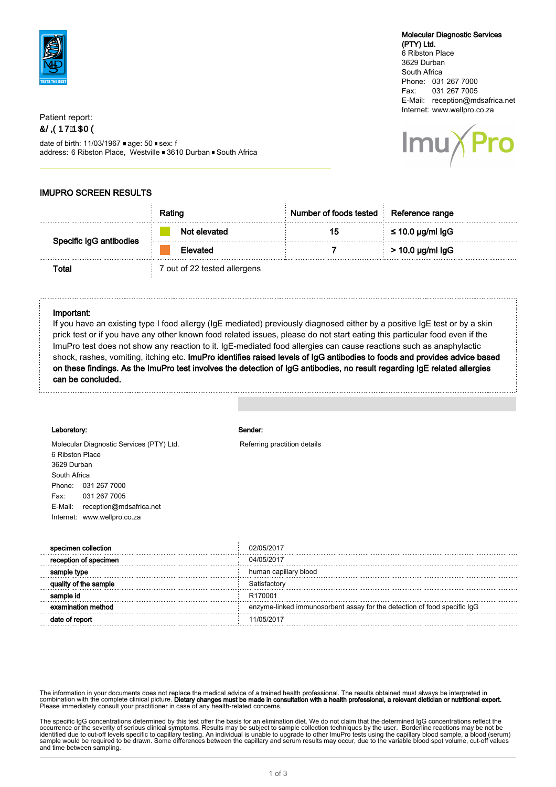

## Patient report: OS OUR DOOR

date of birth: 11/03/1967 age: 50 sex: f address: 6 Ribston Place, Westville 3610 Durban South Africa

## Molecular Diagnostic Services

(PTY) Ltd. 6 Ribston Place 3629 Durban South Africa Phone: 031 267 7000 Fax: 031 267 7005 E-Mail: reception@mdsafrica.net Internet: www.wellpro.co.za



## IMUPRO SCREEN RESULTS

|                        |                            | mber of foods tested   Reference range |                       |
|------------------------|----------------------------|----------------------------------------|-----------------------|
| pecific IgG antibodies | : elevated                 |                                        | $\leq$ 10.0 µg/ml lgG |
|                        | meo                        |                                        | $>$ 10.0 µg/ml lgG    |
|                        | out of 22 tested allergens |                                        |                       |

### Important:

If you have an existing type I food allergy (IgE mediated) previously diagnosed either by a positive IgE test or by a skin prick test or if you have any other known food related issues, please do not start eating this particular food even if the ImuPro test does not show any reaction to it. IgE-mediated food allergies can cause reactions such as anaphylactic shock, rashes, vomiting, itching etc. ImuPro identifies raised levels of IgG antibodies to foods and provides advice based on these findings. As the ImuPro test involves the detection of IgG antibodies, no result regarding IgE related allergies can be concluded.

#### Laboratory: Sender:

6 Ribston Place 3629 Durban South Africa

Phone: 031 267 7000

Molecular Diagnostic Services (PTY) Ltd. Referring practition details

| 031 267 7005                       |                                                                          |
|------------------------------------|--------------------------------------------------------------------------|
| E-Mail:<br>reception@mdsafrica.net |                                                                          |
| Internet: www.wellpro.co.za        |                                                                          |
|                                    |                                                                          |
| specimen collection                | 02/05/2013                                                               |
| reception of specimen              | 04/05/2017                                                               |
| sample type                        | human capillary blood                                                    |
| quality of the sample              | Satisfactory                                                             |
| sample id                          | R <sub>170001</sub>                                                      |
| examination method                 | enzyme-linked immunosorbent assay for the detection of food specific IgG |

date of report 11/05/2017

The information in your documents does not replace the medical advice of a trained health professional. The results obtained must always be interpreted in combination with the complete clinical picture. **Dietary changes must be made in consultation with a health professional, a relevant dietician or nutritional expert.<br>Please immediately consult your practitioner in case of** 

The specific IgG concentrations determined by this test offer the basis for an elimination diet. We do not claim that the determined IgG concentrations reflect the occurrence or the severity of serious clinical symptoms. Results may be subject to sample collection techniques by the user. Borderline reactions may be not be<br>identified due to cut-off levels specific to capillary testin sample would be required to be drawn. Some differences between the capillary and serum results may occur, due to the variable blood spot volume, cut-off values and time between sampling.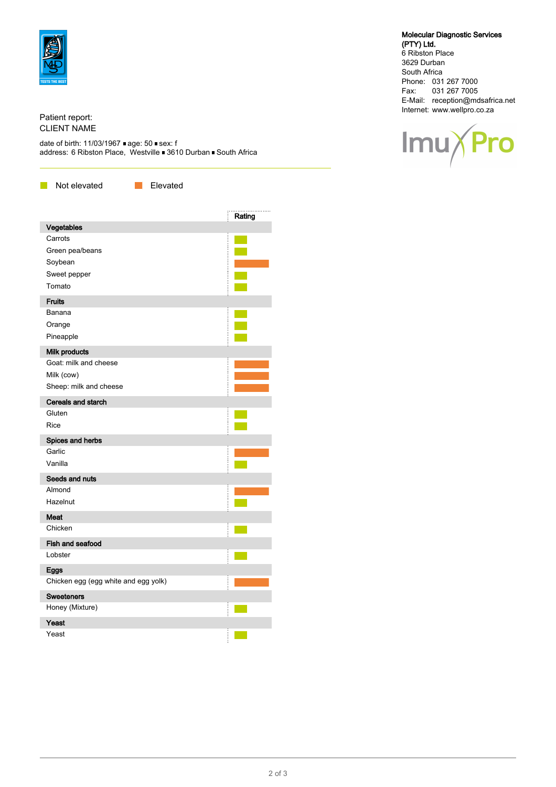

## Patient report: CLIENT NAME

date of birth: 11/03/1967 age: 50 sex: f address: 6 Ribston Place, Westville ■ 3610 Durban ■ South Africa

**Not elevated** Elevated

|                                      | Rating                 |
|--------------------------------------|------------------------|
| Vegetables                           |                        |
| Carrots                              |                        |
| Green pea/beans                      |                        |
| Soybean                              |                        |
| Sweet pepper                         |                        |
| Tomato                               |                        |
| <b>Fruits</b>                        |                        |
| Banana                               | <b>Service Service</b> |
| Orange                               |                        |
| Pineapple                            |                        |
| Milk products                        |                        |
| Goat: milk and cheese                |                        |
| Milk (cow)                           |                        |
| Sheep: milk and cheese               |                        |
| <b>Cereals and starch</b>            |                        |
| Gluten                               |                        |
| Rice                                 |                        |
| Spices and herbs                     |                        |
| Garlic                               |                        |
| Vanilla                              |                        |
| Seeds and nuts                       |                        |
| Almond                               |                        |
| Hazelnut                             |                        |
| <b>Meat</b>                          |                        |
| Chicken                              |                        |
| Fish and seafood                     |                        |
| Lobster                              |                        |
| Eggs                                 |                        |
| Chicken egg (egg white and egg yolk) |                        |
| <b>Sweeteners</b>                    |                        |
| Honey (Mixture)                      |                        |
| Yeast                                |                        |
| Yeast                                |                        |

## Molecular Diagnostic Services

(PTY) Ltd. 6 Ribston Place 3629 Durban South Africa Phone: 031 267 7000 Fax: 031 267 7005 E-Mail: reception@mdsafrica.net Internet: www.wellpro.co.za